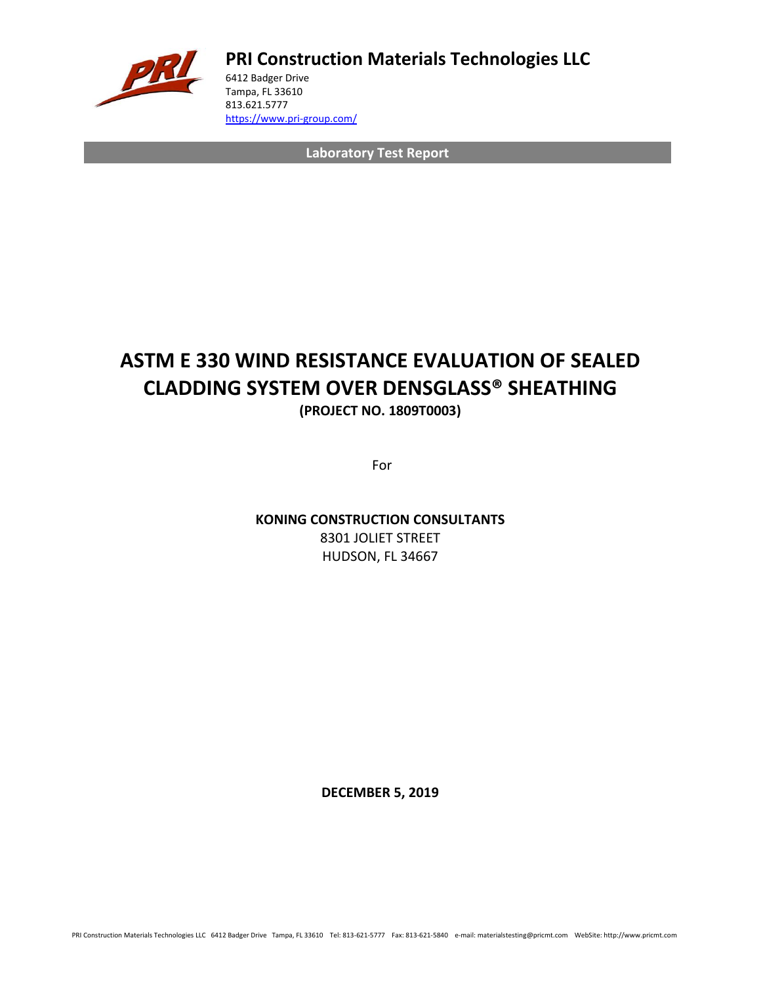

**PRI Construction Materials Technologies LLC**

6412 Badger Drive Tampa, FL 33610 813.621.5777 <https://www.pri-group.com/>

**Laboratory Test Report**

# **ASTM E 330 WIND RESISTANCE EVALUATION OF SEALED CLADDING SYSTEM OVER DENSGLASS® SHEATHING (PROJECT NO. 1809T0003)**

For

**KONING CONSTRUCTION CONSULTANTS** 8301 JOLIET STREET HUDSON, FL 34667

**DECEMBER 5, 2019**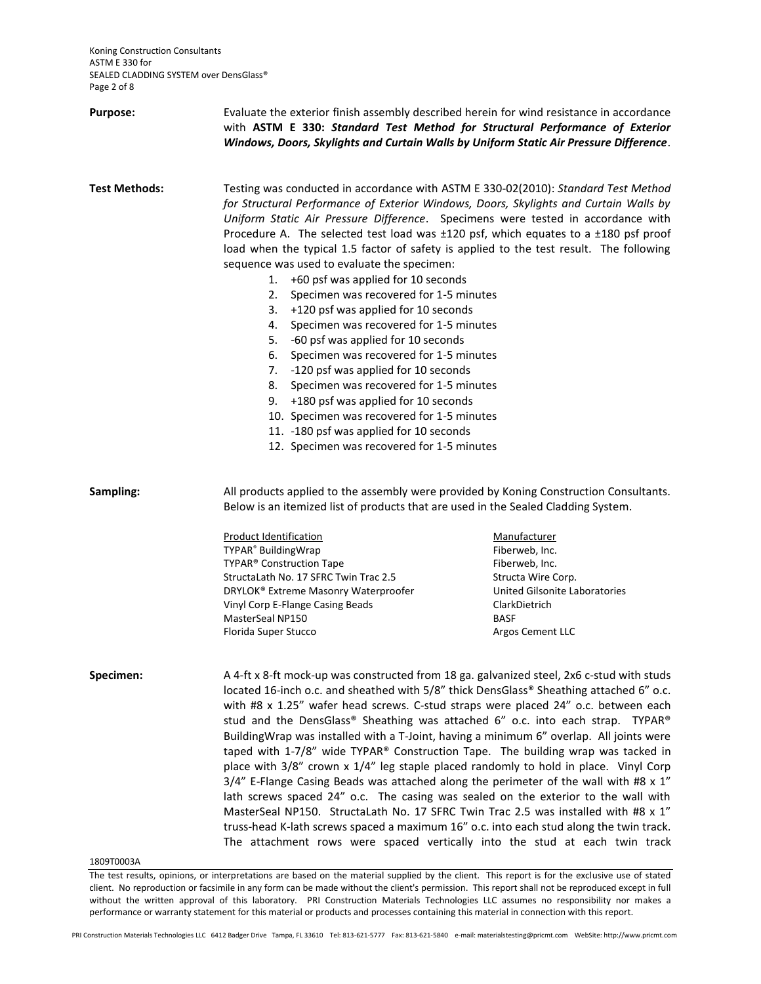| Purpose:             | Evaluate the exterior finish assembly described herein for wind resistance in accordance<br>with ASTM E 330: Standard Test Method for Structural Performance of Exterior<br>Windows, Doors, Skylights and Curtain Walls by Uniform Static Air Pressure Difference.                                                                                                                                                                                                                                                                                                                                                                                                                                                                                                                                                                                                                                                                                                                                                                                                                   |                                                                                                                                                             |  |  |
|----------------------|--------------------------------------------------------------------------------------------------------------------------------------------------------------------------------------------------------------------------------------------------------------------------------------------------------------------------------------------------------------------------------------------------------------------------------------------------------------------------------------------------------------------------------------------------------------------------------------------------------------------------------------------------------------------------------------------------------------------------------------------------------------------------------------------------------------------------------------------------------------------------------------------------------------------------------------------------------------------------------------------------------------------------------------------------------------------------------------|-------------------------------------------------------------------------------------------------------------------------------------------------------------|--|--|
| <b>Test Methods:</b> | Testing was conducted in accordance with ASTM E 330-02(2010): Standard Test Method<br>for Structural Performance of Exterior Windows, Doors, Skylights and Curtain Walls by<br>Uniform Static Air Pressure Difference. Specimens were tested in accordance with<br>Procedure A. The selected test load was ±120 psf, which equates to a ±180 psf proof<br>load when the typical 1.5 factor of safety is applied to the test result. The following<br>sequence was used to evaluate the specimen:<br>+60 psf was applied for 10 seconds<br>1.<br>Specimen was recovered for 1-5 minutes<br>2.<br>+120 psf was applied for 10 seconds<br>3.<br>Specimen was recovered for 1-5 minutes<br>4.<br>-60 psf was applied for 10 seconds<br>5.<br>6.<br>Specimen was recovered for 1-5 minutes<br>-120 psf was applied for 10 seconds<br>7.<br>8.<br>Specimen was recovered for 1-5 minutes<br>+180 psf was applied for 10 seconds<br>9.<br>10. Specimen was recovered for 1-5 minutes<br>11. -180 psf was applied for 10 seconds<br>12. Specimen was recovered for 1-5 minutes               |                                                                                                                                                             |  |  |
| Sampling:            | All products applied to the assembly were provided by Koning Construction Consultants.<br>Below is an itemized list of products that are used in the Sealed Cladding System.                                                                                                                                                                                                                                                                                                                                                                                                                                                                                                                                                                                                                                                                                                                                                                                                                                                                                                         |                                                                                                                                                             |  |  |
|                      | <b>Product Identification</b><br>TYPAR <sup>®</sup> BuildingWrap<br>TYPAR® Construction Tape<br>StructaLath No. 17 SFRC Twin Trac 2.5<br>DRYLOK® Extreme Masonry Waterproofer<br>Vinyl Corp E-Flange Casing Beads<br>MasterSeal NP150<br>Florida Super Stucco                                                                                                                                                                                                                                                                                                                                                                                                                                                                                                                                                                                                                                                                                                                                                                                                                        | Manufacturer<br>Fiberweb, Inc.<br>Fiberweb, Inc.<br>Structa Wire Corp.<br>United Gilsonite Laboratories<br>ClarkDietrich<br><b>BASF</b><br>Argos Cement LLC |  |  |
| Specimen:            | A 4-ft x 8-ft mock-up was constructed from 18 ga. galvanized steel, 2x6 c-stud with studs<br>located 16-inch o.c. and sheathed with 5/8" thick DensGlass® Sheathing attached 6" o.c.<br>with #8 x 1.25" wafer head screws. C-stud straps were placed 24" o.c. between each<br>stud and the DensGlass® Sheathing was attached 6" o.c. into each strap. TYPAR®<br>BuildingWrap was installed with a T-Joint, having a minimum 6" overlap. All joints were<br>taped with 1-7/8" wide TYPAR® Construction Tape. The building wrap was tacked in<br>place with 3/8" crown x 1/4" leg staple placed randomly to hold in place. Vinyl Corp<br>$3/4$ " E-Flange Casing Beads was attached along the perimeter of the wall with #8 x 1"<br>lath screws spaced 24" o.c. The casing was sealed on the exterior to the wall with<br>MasterSeal NP150. StructaLath No. 17 SFRC Twin Trac 2.5 was installed with #8 x 1"<br>truss-head K-lath screws spaced a maximum 16" o.c. into each stud along the twin track.<br>The attachment rows were spaced vertically into the stud at each twin track |                                                                                                                                                             |  |  |

1809T0003A

The test results, opinions, or interpretations are based on the material supplied by the client. This report is for the exclusive use of stated client. No reproduction or facsimile in any form can be made without the client's permission. This report shall not be reproduced except in full without the written approval of this laboratory. PRI Construction Materials Technologies LLC assumes no responsibility nor makes a performance or warranty statement for this material or products and processes containing this material in connection with this report.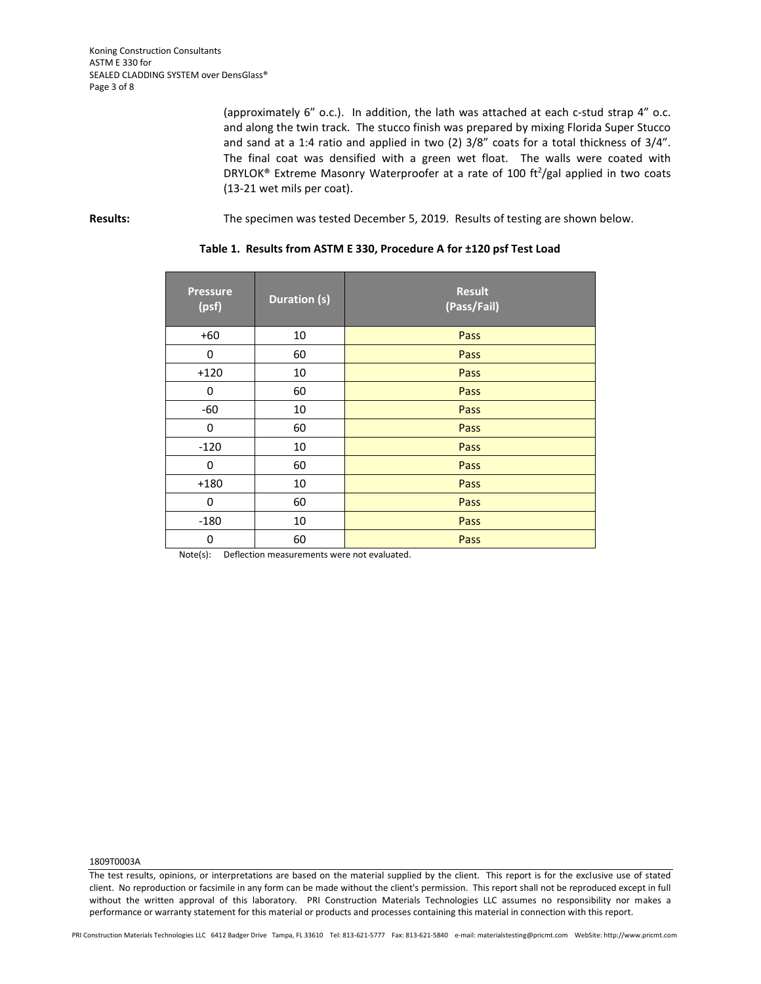(approximately 6" o.c.). In addition, the lath was attached at each c-stud strap 4" o.c. and along the twin track. The stucco finish was prepared by mixing Florida Super Stucco and sand at a 1:4 ratio and applied in two (2) 3/8" coats for a total thickness of 3/4". The final coat was densified with a green wet float. The walls were coated with DRYLOK® Extreme Masonry Waterproofer at a rate of 100 ft<sup>2</sup>/gal applied in two coats (13-21 wet mils per coat).

# **Results:** The specimen was tested December 5, 2019. Results of testing are shown below.

# **Table 1. Results from ASTM E 330, Procedure A for ±120 psf Test Load**

| <b>Pressure</b><br>(psf) | <b>Duration (s)</b> | <b>Result</b><br>(Pass/Fail) |
|--------------------------|---------------------|------------------------------|
| $+60$                    | 10                  | Pass                         |
| 0                        | 60                  | Pass                         |
| $+120$                   | 10                  | Pass                         |
| 0                        | 60                  | Pass                         |
| $-60$                    | 10                  | Pass                         |
| 0                        | 60                  | Pass                         |
| $-120$                   | 10                  | Pass                         |
| 0                        | 60                  | Pass                         |
| $+180$                   | 10                  | Pass                         |
| 0                        | 60                  | Pass                         |
| $-180$                   | 10                  | Pass                         |
| 0                        | 60                  | Pass                         |

Note(s): Deflection measurements were not evaluated.

1809T0003A

The test results, opinions, or interpretations are based on the material supplied by the client. This report is for the exclusive use of stated client. No reproduction or facsimile in any form can be made without the client's permission. This report shall not be reproduced except in full without the written approval of this laboratory. PRI Construction Materials Technologies LLC assumes no responsibility nor makes a performance or warranty statement for this material or products and processes containing this material in connection with this report.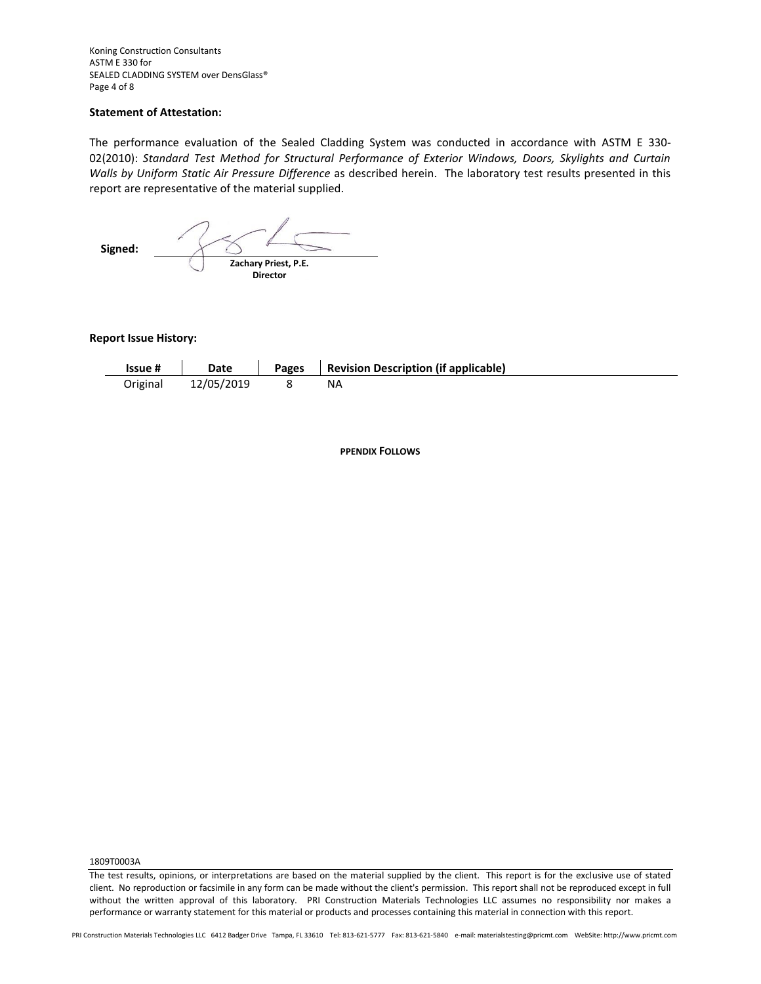Koning Construction Consultants ASTM E 330 for SEALED CLADDING SYSTEM over DensGlass® Page 4 of 8

# **Statement of Attestation:**

The performance evaluation of the Sealed Cladding System was conducted in accordance with ASTM E 330- 02(2010): *Standard Test Method for Structural Performance of Exterior Windows, Doors, Skylights and Curtain Walls by Uniform Static Air Pressure Difference* as described herein.The laboratory test results presented in this report are representative of the material supplied.

 **Signed: Zachary Priest, P.E. Director**

**Report Issue History:**

| Issue #  | Date       | Pages | <b>Revision Description (if applicable)</b> |
|----------|------------|-------|---------------------------------------------|
| Original | 12/05/2019 |       | ΝA                                          |

**PPENDIX FOLLOWS**

1809T0003A

The test results, opinions, or interpretations are based on the material supplied by the client. This report is for the exclusive use of stated client. No reproduction or facsimile in any form can be made without the client's permission. This report shall not be reproduced except in full without the written approval of this laboratory. PRI Construction Materials Technologies LLC assumes no responsibility nor makes a performance or warranty statement for this material or products and processes containing this material in connection with this report.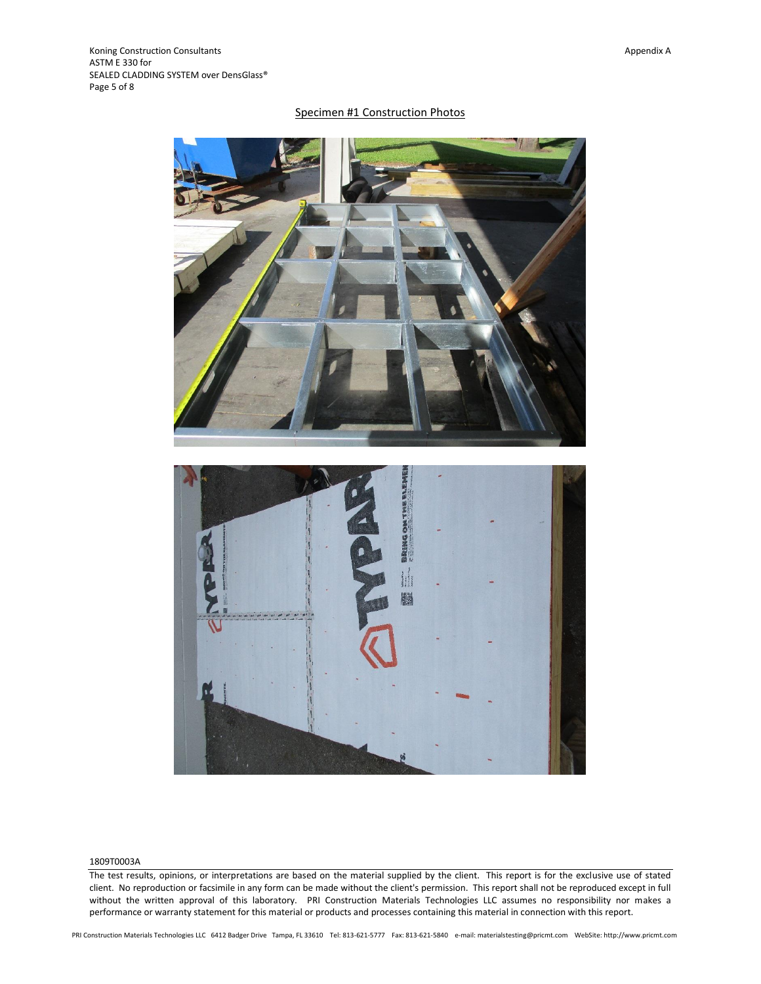# Specimen #1 Construction Photos



#### 1809T0003A

The test results, opinions, or interpretations are based on the material supplied by the client. This report is for the exclusive use of stated client. No reproduction or facsimile in any form can be made without the client's permission. This report shall not be reproduced except in full without the written approval of this laboratory. PRI Construction Materials Technologies LLC assumes no responsibility nor makes a performance or warranty statement for this material or products and processes containing this material in connection with this report.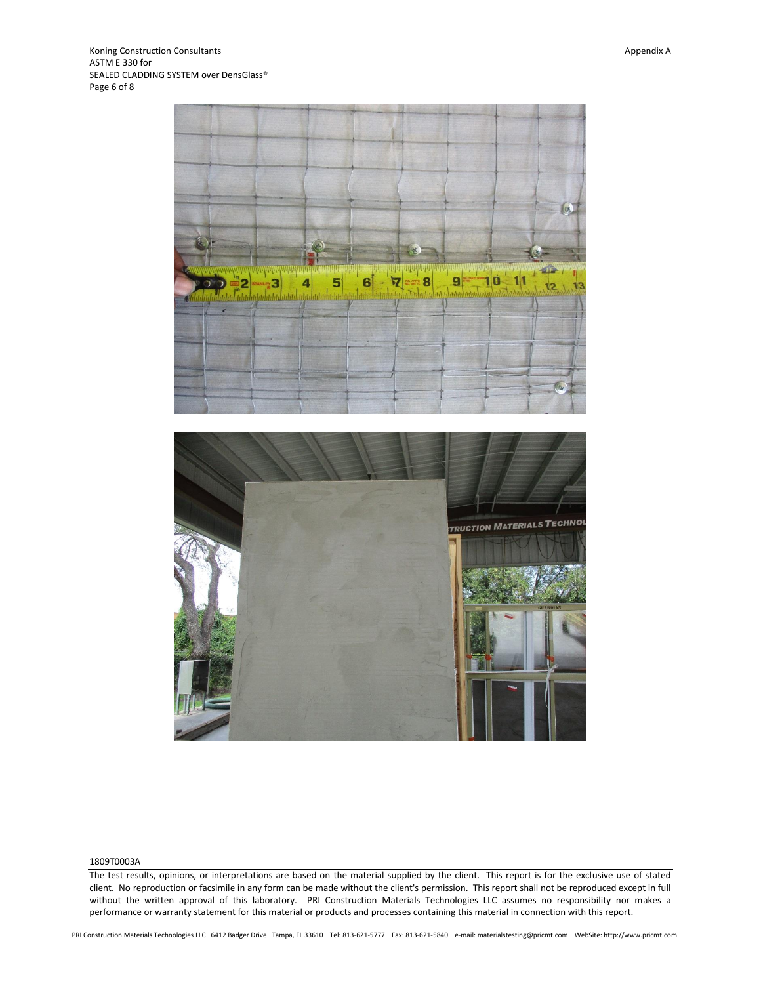

#### 1809T0003A

The test results, opinions, or interpretations are based on the material supplied by the client. This report is for the exclusive use of stated client. No reproduction or facsimile in any form can be made without the client's permission. This report shall not be reproduced except in full without the written approval of this laboratory. PRI Construction Materials Technologies LLC assumes no responsibility nor makes a performance or warranty statement for this material or products and processes containing this material in connection with this report.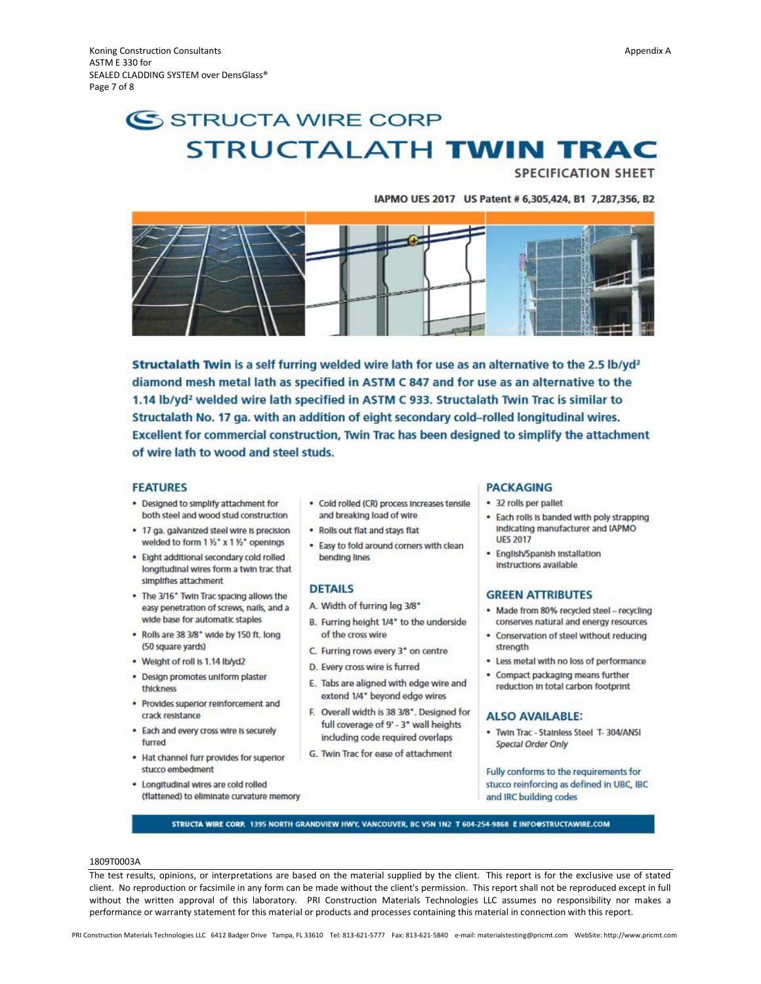# SSTRUCTA WIRE CORP **STRUCTALATH TWIN TRAC**

**SPECIFICATION SHEET** 

#### IAPMO UES 2017 US Patent # 6,305,424, B1 7,287,356, B2



Structalath Twin is a self furring welded wire lath for use as an alternative to the 2.5 lb/yd<sup>2</sup> diamond mesh metal lath as specified in ASTM C 847 and for use as an alternative to the 1.14 lb/yd<sup>2</sup> welded wire lath specified in ASTM C 933. Structalath Twin Trac is similar to Structalath No. 17 ga. with an addition of eight secondary cold-rolled longitudinal wires. Excellent for commercial construction, Twin Trac has been designed to simplify the attachment of wire lath to wood and steel studs.

## **FEATURES**

- . Designed to simplify attachment for both steel and wood stud construction
- . 17 ga. galvanized steel wire is precision welded to form 1 1/2" x 1 1/2" openings
- . Eight additional secondary cold rolled longitudinal wires form a twin trac that simplifies attachment
- . The 3/16" Twin Trac spacing allows the easy penetration of screws, nails, and a wide base for automatic staples
- . Rolls are 38 3/8" wide by 150 ft. long (50 square yards)
- Weight of roll is 1.14 lb/yd2
- · Design promotes uniform plaster thickness
- · Provides superior reinforcement and crack resistance
- . Each and every cross wire is securely furred
- . Hat channel furr provides for superior stucco embedment
- . Longitudinal wires are cold rolled (flattened) to eliminate curvature memory
- · Cold rolled (CR) process Increases tensile and breaking load of wire
- . Rolls out flat and stays flat
- . Easy to fold around corners with clean bending lines

#### **DETAILS**

- A. Width of furring leg 3/8"
- B. Furring height 1/4" to the underside of the cross wire
- C. Furring rows every 3" on centre
- D. Every cross wire is furred
- E. Tabs are aligned with edge wire and extend 1/4" beyond edge wires
- F. Overall width is 38 3/8". Designed for full coverage of 9' - 3" wall heights including code required overlaps
- G. Twin Trac for ease of attachment

#### **PACKAGING**

- · 32 rolls per pallet
- . Each rolls is banded with poly strapping Indicating manufacturer and IAPMO **UES 2017**
- · English/Spanish Installation Instructions available

#### **GREEN ATTRIBUTES**

- · Made from 80% recycled steel recycling conserves natural and energy resources
- · Conservation of steel without reducing strength
- . Less metal with no loss of performance
- . Compact packaging means further reduction in total carbon footprint

## **ALSO AVAILABLE:**

. Twin Trac - Stainless Steel T-304/ANSI **Special Order Only** 

Fully conforms to the requirements for stucco reinforcing as defined in UBC, IBC and IRC building codes

STRUCTA WIRE CORP. 1395 NORTH GRANDVIEW HWY, VANCOUVER, BC V5N 1N2 T 604-254-9868 E INFO@STRUCTAWIRE.COM

#### 1809T0003A

The test results, opinions, or interpretations are based on the material supplied by the client. This report is for the exclusive use of stated client. No reproduction or facsimile in any form can be made without the client's permission. This report shall not be reproduced except in full without the written approval of this laboratory. PRI Construction Materials Technologies LLC assumes no responsibility nor makes a performance or warranty statement for this material or products and processes containing this material in connection with this report.